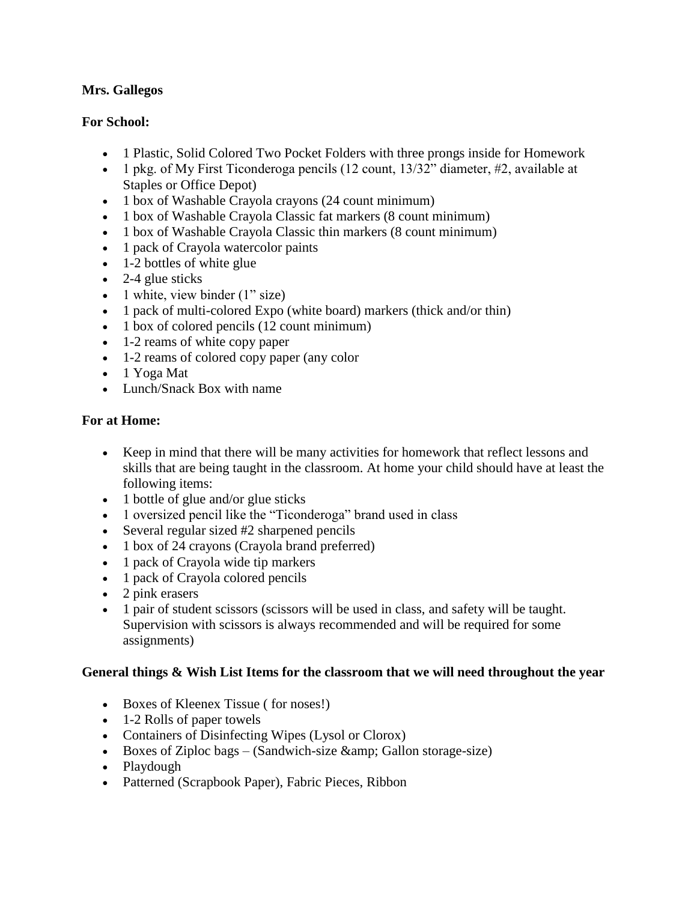## **Mrs. Gallegos**

## **For School:**

- 1 Plastic, Solid Colored Two Pocket Folders with three prongs inside for Homework
- 1 pkg. of My First Ticonderoga pencils (12 count, 13/32" diameter, #2, available at Staples or Office Depot)
- 1 box of Washable Crayola crayons (24 count minimum)
- 1 box of Washable Crayola Classic fat markers (8 count minimum)
- 1 box of Washable Crayola Classic thin markers (8 count minimum)
- 1 pack of Crayola watercolor paints
- 1-2 bottles of white glue
- $\bullet$  2-4 glue sticks
- 1 white, view binder  $(1" size)$
- 1 pack of multi-colored Expo (white board) markers (thick and/or thin)
- 1 box of colored pencils (12 count minimum)
- 1-2 reams of white copy paper
- 1-2 reams of colored copy paper (any color
- 1 Yoga Mat
- Lunch/Snack Box with name

## **For at Home:**

- Keep in mind that there will be many activities for homework that reflect lessons and skills that are being taught in the classroom. At home your child should have at least the following items:
- 1 bottle of glue and/or glue sticks
- 1 oversized pencil like the "Ticonderoga" brand used in class
- Several regular sized #2 sharpened pencils
- 1 box of 24 crayons (Crayola brand preferred)
- 1 pack of Crayola wide tip markers
- 1 pack of Crayola colored pencils
- 2 pink erasers
- 1 pair of student scissors (scissors will be used in class, and safety will be taught. Supervision with scissors is always recommended and will be required for some assignments)

## **General things & Wish List Items for the classroom that we will need throughout the year**

- Boxes of Kleenex Tissue (for noses!)
- 1-2 Rolls of paper towels
- Containers of Disinfecting Wipes (Lysol or Clorox)
- Boxes of Ziploc bags (Sandwich-size  $\&$ amp; Gallon storage-size)
- Playdough
- Patterned (Scrapbook Paper), Fabric Pieces, Ribbon